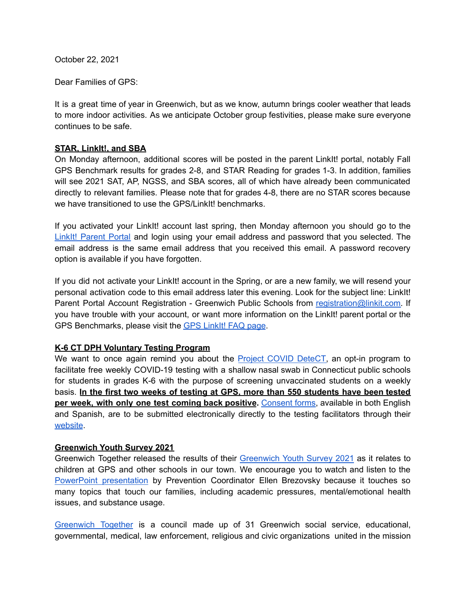October 22, 2021

Dear Families of GPS:

It is a great time of year in Greenwich, but as we know, autumn brings cooler weather that leads to more indoor activities. As we anticipate October group festivities, please make sure everyone continues to be safe.

### **STAR, LinkIt!, and SBA**

On Monday afternoon, additional scores will be posted in the parent LinkIt! portal, notably Fall GPS Benchmark results for grades 2-8, and STAR Reading for grades 1-3. In addition, families will see 2021 SAT, AP, NGSS, and SBA scores, all of which have already been communicated directly to relevant families. Please note that for grades 4-8, there are no STAR scores because we have transitioned to use the GPS/LinkIt! benchmarks.

If you activated your LinkIt! account last spring, then Monday afternoon you should go to the LinkIt! [Parent](https://greenwich.linkit.com/parent) Portal and login using your email address and password that you selected. The email address is the same email address that you received this email. A password recovery option is available if you have forgotten.

If you did not activate your LinkIt! account in the Spring, or are a new family, we will resend your personal activation code to this email address later this evening. Look for the subject line: LinkIt! Parent Portal Account Registration - Greenwich Public Schools from [registration@linkit.com.](mailto:registration@linkit.com) If you have trouble with your account, or want more information on the LinkIt! parent portal or the GPS Benchmarks, please visit the GPS [LinkIt!](https://www.greenwichschools.org/district-information/parent-resources/gpslinkit-parent-portal-and-benchmark-faq) FAQ page.

### **K-6 CT DPH Voluntary Testing Program**

We want to once again remind you about the **Project COVID DeteCT**, an opt-in program to facilitate free weekly COVID-19 testing with a shallow nasal swab in Connecticut public schools for students in grades K-6 with the purpose of screening unvaccinated students on a weekly basis. **In the first two weeks of testing at GPS, more than 550 students have been tested per week, with only one test coming back positive.** [Consent](https://progressive-diagnostics.com/school-testing/consent-form/) forms, available in both English and Spanish, are to be submitted electronically directly to the testing facilitators through their [website](https://progressive-diagnostics.com/school-testing/consent-form/).

### **Greenwich Youth Survey 2021**

Greenwich Together released the results of their [Greenwich](https://www.greenwichtogether.org/studies-data) Youth Survey 2021 as it relates to children at GPS and other schools in our town. We encourage you to watch and listen to the PowerPoint [presentation](https://us06web.zoom.us/rec/play/ICxdoYAYhi8z6rU0mvLqZxh0V_-6cnzT9WMDF1qSrb_fECS37rDDCDGVBteY6mFXdVn30tBs84h_09RS.cS60PV8anPRYLxcN?startTime=1634078213000&_x_zm_rtaid=VSBR_RpLQLaPfXxVct7E1A.1634913663690.98e10cc92a8ef9a705a2f47e1374617d&_x_zm_rhtaid=445) by Prevention Coordinator Ellen Brezovsky because it touches so many topics that touch our families, including academic pressures, mental/emotional health issues, and substance usage.

[Greenwich](https://www.greenwichtogether.org/) Together is a council made up of 31 Greenwich social service, educational, governmental, medical, law enforcement, religious and civic organizations united in the mission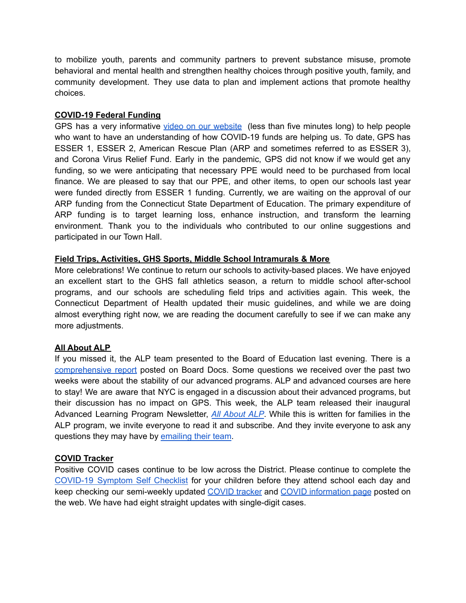to mobilize youth, parents and community partners to prevent substance misuse, promote behavioral and mental health and strengthen healthy choices through positive youth, family, and community development. They use data to plan and implement actions that promote healthy choices.

### **COVID-19 Federal Funding**

GPS has a very informative video on our [website](https://www.youtube.com/watch?v=ony7N9Gz594) (less than five minutes long) to help people who want to have an understanding of how COVID-19 funds are helping us. To date, GPS has ESSER 1, ESSER 2, American Rescue Plan (ARP and sometimes referred to as ESSER 3), and Corona Virus Relief Fund. Early in the pandemic, GPS did not know if we would get any funding, so we were anticipating that necessary PPE would need to be purchased from local finance. We are pleased to say that our PPE, and other items, to open our schools last year were funded directly from ESSER 1 funding. Currently, we are waiting on the approval of our ARP funding from the Connecticut State Department of Education. The primary expenditure of ARP funding is to target learning loss, enhance instruction, and transform the learning environment. Thank you to the individuals who contributed to our online suggestions and participated in our Town Hall.

# **Field Trips, Activities, GHS Sports, Middle School Intramurals & More**

More celebrations! We continue to return our schools to activity-based places. We have enjoyed an excellent start to the GHS fall athletics season, a return to middle school after-school programs, and our schools are scheduling field trips and activities again. This week, the Connecticut Department of Health updated their music guidelines, and while we are doing almost everything right now, we are reading the document carefully to see if we can make any more adjustments.

# **All About ALP**

If you missed it, the ALP team presented to the Board of Education last evening. There is a [comprehensive](https://go.boarddocs.com/ct/greenwich/Board.nsf/files/C7XPCS62114D/$file/102121%20ALP%20w%20CS%20REVISED.pdf) report posted on Board Docs. Some questions we received over the past two weeks were about the stability of our advanced programs. ALP and advanced courses are here to stay! We are aware that NYC is engaged in a discussion about their advanced programs, but their discussion has no impact on GPS. This week, the ALP team released their inaugural Advanced Learning Program Newsletter, *All [About](https://www.smore.com/b49wf) ALP*. While this is written for families in the ALP program, we invite everyone to read it and subscribe. And they invite everyone to ask any questions they may have by [emailing](mailto:advancedlearning@greenwich.k12.ct.us) their team.

### **COVID Tracker**

Positive COVID cases continue to be low across the District. Please continue to complete the [COVID-19](https://resources.finalsite.net/images/v1600868987/greenwich/vrdoomnnyw1oq6vnh4vp/GPSCOVIDSelfChecklistENGLISH-2.pdf) Symptom Self Checklist for your children before they attend school each day and keep checking our semi-weekly updated [COVID](https://www.greenwichschools.org/teaching-learning/student-support-services/health-services/covid-19/covid-19-tracker-2021-2022-school-year) tracker and COVID [information](https://www.greenwichschools.org/teaching-learning/student-support-services/health-services/covid-19) page posted on the web. We have had eight straight updates with single-digit cases.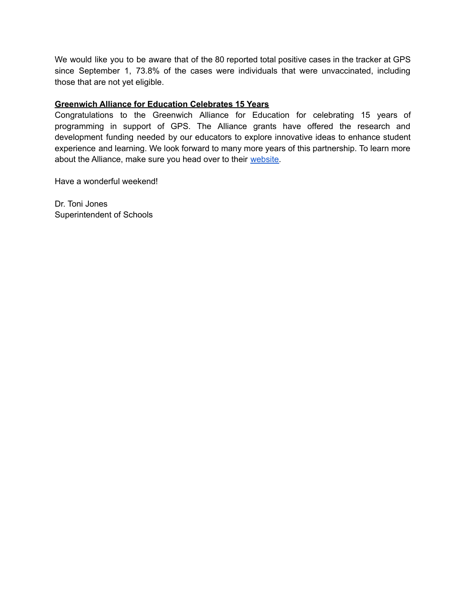We would like you to be aware that of the 80 reported total positive cases in the tracker at GPS since September 1, 73.8% of the cases were individuals that were unvaccinated, including those that are not yet eligible.

# **Greenwich Alliance for Education Celebrates 15 Years**

Congratulations to the Greenwich Alliance for Education for celebrating 15 years of programming in support of GPS. The Alliance grants have offered the research and development funding needed by our educators to explore innovative ideas to enhance student experience and learning. We look forward to many more years of this partnership. To learn more about the Alliance, make sure you head over to their [website.](https://greenwichalliance.org/)

Have a wonderful weekend!

Dr. Toni Jones Superintendent of Schools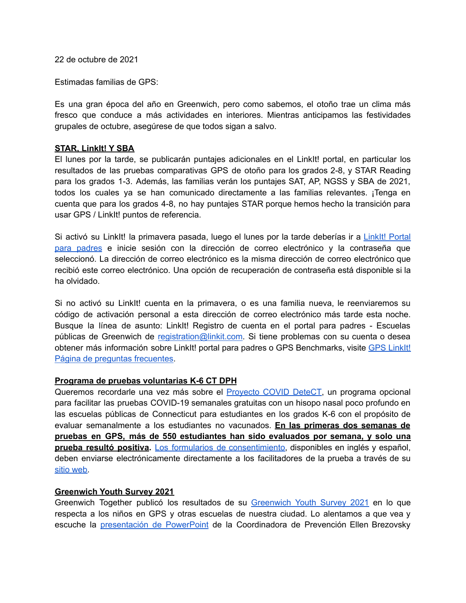22 de octubre de 2021

Estimadas familias de GPS:

Es una gran época del año en Greenwich, pero como sabemos, el otoño trae un clima más fresco que conduce a más actividades en interiores. Mientras anticipamos las festividades grupales de octubre, asegúrese de que todos sigan a salvo.

#### **STAR, LinkIt! Y SBA**

El lunes por la tarde, se publicarán puntajes adicionales en el LinkIt! portal, en particular los resultados de las pruebas comparativas GPS de otoño para los grados 2-8, y STAR Reading para los grados 1-3. Además, las familias verán los puntajes SAT, AP, NGSS y SBA de 2021, todos los cuales ya se han comunicado directamente a las familias relevantes. ¡Tenga en cuenta que para los grados 4-8, no hay puntajes STAR porque hemos hecho la transición para usar GPS / LinkIt! puntos de referencia.

Si activó su LinkIt! la primavera pasada, luego el lunes por la tarde deberías ir a [LinkIt!](https://greenwich.linkit.com/parent) Portal para [padres](https://greenwich.linkit.com/parent) e inicie sesión con la dirección de correo electrónico y la contraseña que seleccionó. La dirección de correo electrónico es la misma dirección de correo electrónico que recibió este correo electrónico. Una opción de recuperación de contraseña está disponible si la ha olvidado.

Si no activó su LinkIt! cuenta en la primavera, o es una familia nueva, le reenviaremos su código de activación personal a esta dirección de correo electrónico más tarde esta noche. Busque la línea de asunto: LinkIt! Registro de cuenta en el portal para padres - Escuelas públicas de Greenwich de [registration@linkit.com.](mailto:registration@linkit.com) Si tiene problemas con su cuenta o desea obtener más información sobre [LinkIt!](https://www.greenwichschools.org/district-information/parent-resources/gpslinkit-parent-portal-and-benchmark-faq) portal para padres o GPS Benchmarks, visite GPS LinkIt! Página de preguntas [frecuentes.](https://www.greenwichschools.org/district-information/parent-resources/gpslinkit-parent-portal-and-benchmark-faq)

#### **Programa de pruebas voluntarias K-6 CT DPH**

Queremos recordarle una vez más sobre el [Proyecto](https://portal.ct.gov/Coronavirus/project-covid-detect) COVID DeteCT, un programa opcional para facilitar las pruebas COVID-19 semanales gratuitas con un hisopo nasal poco profundo en las escuelas públicas de Connecticut para estudiantes en los grados K-6 con el propósito de evaluar semanalmente a los estudiantes no vacunados. **En las primeras dos semanas de pruebas en GPS, más de 550 estudiantes han sido evaluados por semana, y solo una prueba resultó positiva.** Los formularios de [consentimiento,](https://progressive-diagnostics.com/school-testing/consent-form/) disponibles en inglés y español, deben enviarse electrónicamente directamente a los facilitadores de la prueba a través de su sitio [web.](https://progressive-diagnostics.com/school-testing/consent-form/)

### **Greenwich Youth Survey 2021**

Greenwich Together publicó los resultados de su [Greenwich](https://www.greenwichtogether.org/studies-data) Youth Survey 2021 en lo que respecta a los niños en GPS y otras escuelas de nuestra ciudad. Lo alentamos a que vea y escuche la [presentación](https://us06web.zoom.us/rec/play/ICxdoYAYhi8z6rU0mvLqZxh0V_-6cnzT9WMDF1qSrb_fECS37rDDCDGVBteY6mFXdVn30tBs84h_09RS.cS60PV8anPRYLxcN?startTime=1634078213000&_x_zm_rtaid=VSBR_RpLQLaPfXxVct7E1A.1634913663690.98e10cc92a8ef9a705a2f47e1374617d&_x_zm_rhtaid=445) de PowerPoint de la Coordinadora de Prevención Ellen Brezovsky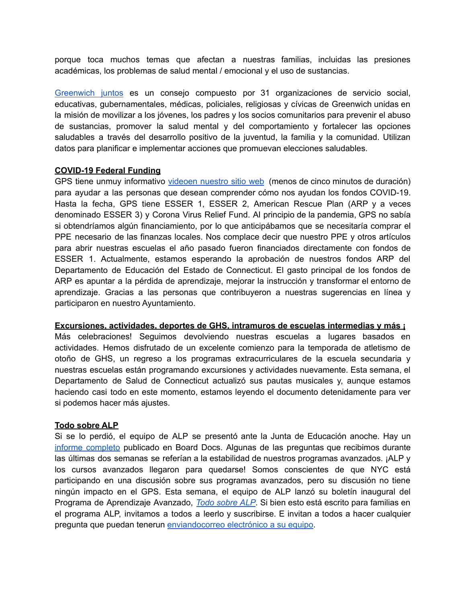porque toca muchos temas que afectan a nuestras familias, incluidas las presiones académicas, los problemas de salud mental / emocional y el uso de sustancias.

[Greenwich](https://www.greenwichtogether.org/) juntos es un consejo compuesto por 31 organizaciones de servicio social, educativas, gubernamentales, médicas, policiales, religiosas y cívicas de Greenwich unidas en la misión de movilizar a los jóvenes, los padres y los socios comunitarios para prevenir el abuso de sustancias, promover la salud mental y del comportamiento y fortalecer las opciones saludables a través del desarrollo positivo de la juventud, la familia y la comunidad. Utilizan datos para planificar e implementar acciones que promuevan elecciones saludables.

#### **COVID-19 Federal Funding**

GPS tiene unmuy informativo [videoen](https://www.youtube.com/watch?v=ony7N9Gz594) nuestro sitio web (menos de cinco minutos de duración) para ayudar a las personas que desean comprender cómo nos ayudan los fondos COVID-19. Hasta la fecha, GPS tiene ESSER 1, ESSER 2, American Rescue Plan (ARP y a veces denominado ESSER 3) y Corona Virus Relief Fund. Al principio de la pandemia, GPS no sabía si obtendríamos algún financiamiento, por lo que anticipábamos que se necesitaría comprar el PPE necesario de las finanzas locales. Nos complace decir que nuestro PPE y otros artículos para abrir nuestras escuelas el año pasado fueron financiados directamente con fondos de ESSER 1. Actualmente, estamos esperando la aprobación de nuestros fondos ARP del Departamento de Educación del Estado de Connecticut. El gasto principal de los fondos de ARP es apuntar a la pérdida de aprendizaje, mejorar la instrucción y transformar el entorno de aprendizaje. Gracias a las personas que contribuyeron a nuestras sugerencias en línea y participaron en nuestro Ayuntamiento.

#### **Excursiones, actividades, deportes de GHS, intramuros de escuelas intermedias y más ¡**

Más celebraciones! Seguimos devolviendo nuestras escuelas a lugares basados en actividades. Hemos disfrutado de un excelente comienzo para la temporada de atletismo de otoño de GHS, un regreso a los programas extracurriculares de la escuela secundaria y nuestras escuelas están programando excursiones y actividades nuevamente. Esta semana, el Departamento de Salud de Connecticut actualizó sus pautas musicales y, aunque estamos haciendo casi todo en este momento, estamos leyendo el documento detenidamente para ver si podemos hacer más ajustes.

#### **Todo sobre ALP**

Si se lo perdió, el equipo de ALP se presentó ante la Junta de Educación anoche. Hay un informe [completo](https://go.boarddocs.com/ct/greenwich/Board.nsf/files/C7XPCS62114D/$file/102121%20ALP%20w%20CS%20REVISED.pdf) publicado en Board Docs. Algunas de las preguntas que recibimos durante las últimas dos semanas se referían a la estabilidad de nuestros programas avanzados. ¡ALP y los cursos avanzados llegaron para quedarse! Somos conscientes de que NYC está participando en una discusión sobre sus programas avanzados, pero su discusión no tiene ningún impacto en el GPS. Esta semana, el equipo de ALP lanzó su boletín inaugural del Programa de Aprendizaje Avanzado, *Todo [sobre](https://www.smore.com/b49wf) ALP*. Si bien esto está escrito para familias en el programa ALP, invitamos a todos a leerlo y suscribirse. E invitan a todos a hacer cualquier pregunta que puedan tenerun [enviandocorreo](mailto:advancedlearning@greenwich.k12.ct.us) electrónico a su equipo.